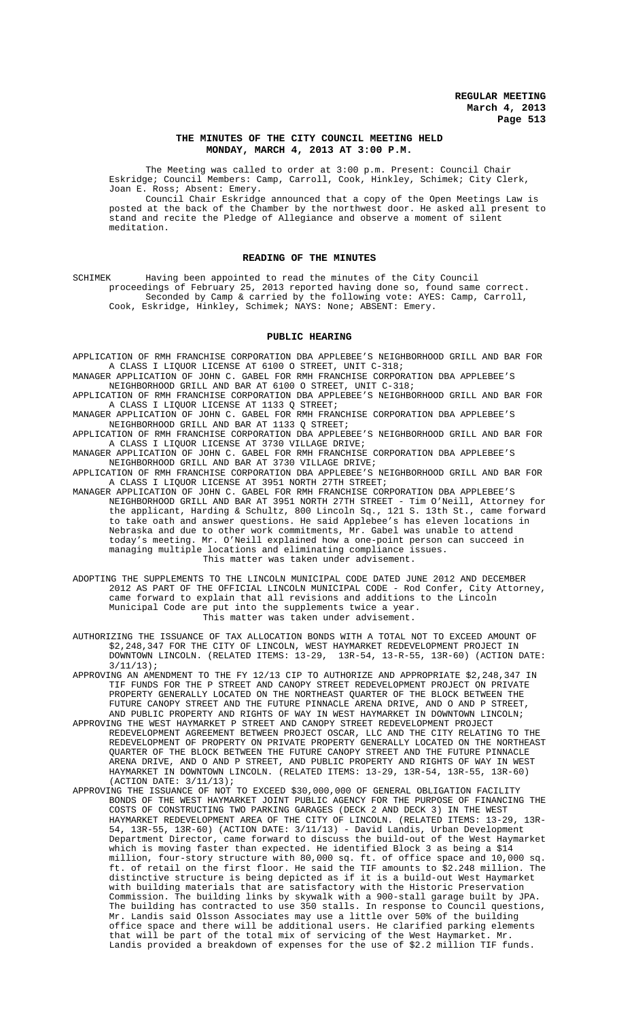#### **THE MINUTES OF THE CITY COUNCIL MEETING HELD MONDAY, MARCH 4, 2013 AT 3:00 P.M.**

The Meeting was called to order at 3:00 p.m. Present: Council Chair Eskridge; Council Members: Camp, Carroll, Cook, Hinkley, Schimek; City Clerk, Joan E. Ross; Absent: Emery.

Council Chair Eskridge announced that a copy of the Open Meetings Law is posted at the back of the Chamber by the northwest door. He asked all present to stand and recite the Pledge of Allegiance and observe a moment of silent meditation.

#### **READING OF THE MINUTES**

SCHIMEK Having been appointed to read the minutes of the City Council proceedings of February 25, 2013 reported having done so, found same correct. Seconded by Camp & carried by the following vote: AYES: Camp, Carroll, Cook, Eskridge, Hinkley, Schimek; NAYS: None; ABSENT: Emery.

#### **PUBLIC HEARING**

APPLICATION OF RMH FRANCHISE CORPORATION DBA APPLEBEE'S NEIGHBORHOOD GRILL AND BAR FOR A CLASS I LIQUOR LICENSE AT 6100 O STREET, UNIT C-318;

MANAGER APPLICATION OF JOHN C. GABEL FOR RMH FRANCHISE CORPORATION DBA APPLEBEE'S NEIGHBORHOOD GRILL AND BAR AT 6100 O STREET, UNIT C-318;

APPLICATION OF RMH FRANCHISE CORPORATION DBA APPLEBEE'S NEIGHBORHOOD GRILL AND BAR FOR A CLASS I LIQUOR LICENSE AT 1133 Q STREET;

MANAGER APPLICATION OF JOHN C. GABEL FOR RMH FRANCHISE CORPORATION DBA APPLEBEE'S NEIGHBORHOOD GRILL AND BAR AT 1133 Q STREET;

APPLICATION OF RMH FRANCHISE CORPORATION DBA APPLEBEE'S NEIGHBORHOOD GRILL AND BAR FOR A CLASS I LIQUOR LICENSE AT 3730 VILLAGE DRIVE;

MANAGER APPLICATION OF JOHN C. GABEL FOR RMH FRANCHISE CORPORATION DBA APPLEBEE'S NEIGHBORHOOD GRILL AND BAR AT 3730 VILLAGE DRIVE;

APPLICATION OF RMH FRANCHISE CORPORATION DBA APPLEBEE'S NEIGHBORHOOD GRILL AND BAR FOR A CLASS I LIQUOR LICENSE AT 3951 NORTH 27TH STREET;

MANAGER APPLICATION OF JOHN C. GABEL FOR RMH FRANCHISE CORPORATION DBA APPLEBEE'S NEIGHBORHOOD GRILL AND BAR AT 3951 NORTH 27TH STREET - Tim O'Neill, Attorney for the applicant, Harding & Schultz, 800 Lincoln Sq., 121 S. 13th St., came forward to take oath and answer questions. He said Applebee's has eleven locations in Nebraska and due to other work commitments, Mr. Gabel was unable to attend today's meeting. Mr. O'Neill explained how a one-point person can succeed in managing multiple locations and eliminating compliance issues. This matter was taken under advisement.

ADOPTING THE SUPPLEMENTS TO THE LINCOLN MUNICIPAL CODE DATED JUNE 2012 AND DECEMBER 2012 AS PART OF THE OFFICIAL LINCOLN MUNICIPAL CODE - Rod Confer, City Attorney, came forward to explain that all revisions and additions to the Lincoln Municipal Code are put into the supplements twice a year. This matter was taken under advisement.

AUTHORIZING THE ISSUANCE OF TAX ALLOCATION BONDS WITH A TOTAL NOT TO EXCEED AMOUNT OF \$2,248,347 FOR THE CITY OF LINCOLN, WEST HAYMARKET REDEVELOPMENT PROJECT IN DOWNTOWN LINCOLN. (RELATED ITEMS: 13-29, 13R-54, 13-R-55, 13R-60) (ACTION DATE:  $3/11/13$ ;

APPROVING AN AMENDMENT TO THE FY 12/13 CIP TO AUTHORIZE AND APPROPRIATE \$2,248,347 IN TIF FUNDS FOR THE P STREET AND CANOPY STREET REDEVELOPMENT PROJECT ON PRIVATE PROPERTY GENERALLY LOCATED ON THE NORTHEAST QUARTER OF THE BLOCK BETWEEN THE FUTURE CANOPY STREET AND THE FUTURE PINNACLE ARENA DRIVE, AND O AND P STREET, AND PUBLIC PROPERTY AND RIGHTS OF WAY IN WEST HAYMARKET IN DOWNTOWN LINCOLN;

- APPROVING THE WEST HAYMARKET P STREET AND CANOPY STREET REDEVELOPMENT PROJECT REDEVELOPMENT AGREEMENT BETWEEN PROJECT OSCAR, LLC AND THE CITY RELATING TO THE REDEVELOPMENT OF PROPERTY ON PRIVATE PROPERTY GENERALLY LOCATED ON THE NORTHEAST QUARTER OF THE BLOCK BETWEEN THE FUTURE CANOPY STREET AND THE FUTURE PINNACLE ARENA DRIVE, AND O AND P STREET, AND PUBLIC PROPERTY AND RIGHTS OF WAY IN WEST HAYMARKET IN DOWNTOWN LINCOLN. (RELATED ITEMS: 13-29, 13R-54, 13R-55, 13R-60) (ACTION DATE: 3/11/13);
- APPROVING THE ISSUANCE OF NOT TO EXCEED \$30,000,000 OF GENERAL OBLIGATION FACILITY BONDS OF THE WEST HAYMARKET JOINT PUBLIC AGENCY FOR THE PURPOSE OF FINANCING THE COSTS OF CONSTRUCTING TWO PARKING GARAGES (DECK 2 AND DECK 3) IN THE WEST HAYMARKET REDEVELOPMENT AREA OF THE CITY OF LINCOLN. (RELATED ITEMS: 13-29, 13R-54, 13R-55, 13R-60) (ACTION DATE: 3/11/13) - David Landis, Urban Development Department Director, came forward to discuss the build-out of the West Haymarket which is moving faster than expected. He identified Block 3 as being a \$14 million, four-story structure with 80,000 sq. ft. of office space and 10,000 sq. ft. of retail on the first floor. He said the TIF amounts to \$2.248 million. The distinctive structure is being depicted as if it is a build-out West Haymarket with building materials that are satisfactory with the Historic Preservation Commission. The building links by skywalk with a 900-stall garage built by JPA. The building has contracted to use 350 stalls. In response to Council questions, Mr. Landis said Olsson Associates may use a little over 50% of the building office space and there will be additional users. He clarified parking elements that will be part of the total mix of servicing of the West Haymarket. Mr. Landis provided a breakdown of expenses for the use of \$2.2 million TIF funds.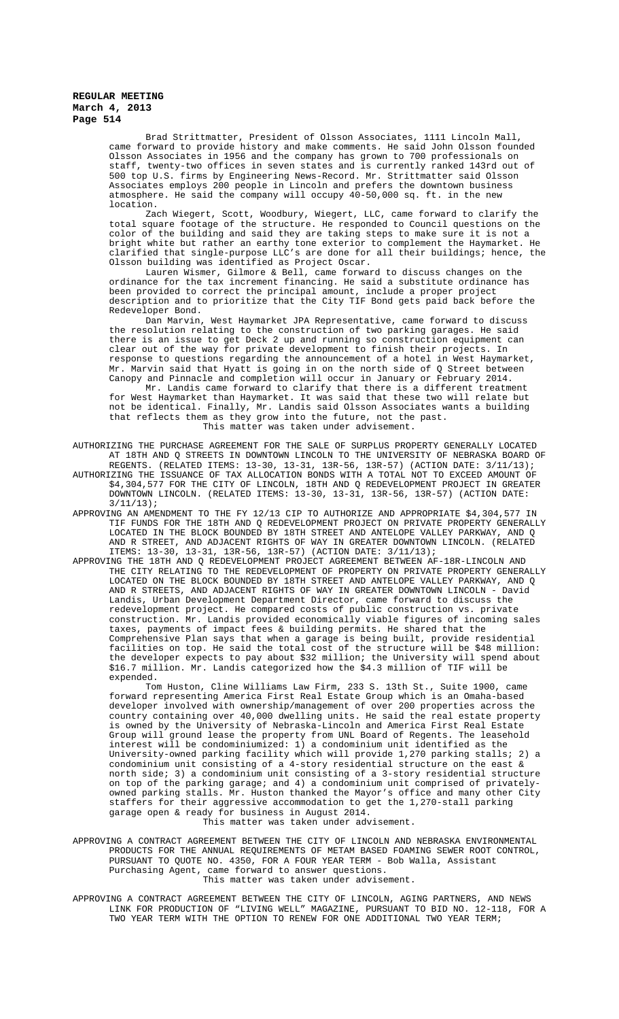Brad Strittmatter, President of Olsson Associates, 1111 Lincoln Mall, came forward to provide history and make comments. He said John Olsson founded Olsson Associates in 1956 and the company has grown to 700 professionals on staff, twenty-two offices in seven states and is currently ranked 143rd out of 500 top U.S. firms by Engineering News-Record. Mr. Strittmatter said Olsson Associates employs 200 people in Lincoln and prefers the downtown business atmosphere. He said the company will occupy 40-50,000 sq. ft. in the new location.

Zach Wiegert, Scott, Woodbury, Wiegert, LLC, came forward to clarify the total square footage of the structure. He responded to Council questions on the color of the building and said they are taking steps to make sure it is not a bright white but rather an earthy tone exterior to complement the Haymarket. He clarified that single-purpose LLC's are done for all their buildings; hence, the Olsson building was identified as Project Oscar.

Lauren Wismer, Gilmore & Bell, came forward to discuss changes on the ordinance for the tax increment financing. He said a substitute ordinance has been provided to correct the principal amount, include a proper project description and to prioritize that the City TIF Bond gets paid back before the Redeveloper Bond.

Dan Marvin, West Haymarket JPA Representative, came forward to discuss the resolution relating to the construction of two parking garages. He said there is an issue to get Deck 2 up and running so construction equipment can clear out of the way for private development to finish their projects. In response to questions regarding the announcement of a hotel in West Haymarket, Mr. Marvin said that Hyatt is going in on the north side of Q Street between Canopy and Pinnacle and completion will occur in January or February 2014.

Mr. Landis came forward to clarify that there is a different treatment for West Haymarket than Haymarket. It was said that these two will relate but not be identical. Finally, Mr. Landis said Olsson Associates wants a building that reflects them as they grow into the future, not the past. This matter was taken under advisement.

- AUTHORIZING THE PURCHASE AGREEMENT FOR THE SALE OF SURPLUS PROPERTY GENERALLY LOCATED AT 18TH AND Q STREETS IN DOWNTOWN LINCOLN TO THE UNIVERSITY OF NEBRASKA BOARD OF REGENTS. (RELATED ITEMS: 13-30, 13-31, 13R-56, 13R-57) (ACTION DATE: 3/11/13);
- AUTHORIZING THE ISSUANCE OF TAX ALLOCATION BONDS WITH A TOTAL NOT TO EXCEED AMOUNT OF \$4,304,577 FOR THE CITY OF LINCOLN, 18TH AND Q REDEVELOPMENT PROJECT IN GREATER DOWNTOWN LINCOLN. (RELATED ITEMS: 13-30, 13-31, 13R-56, 13R-57) (ACTION DATE:  $3/11/13$ ;
- APPROVING AN AMENDMENT TO THE FY 12/13 CIP TO AUTHORIZE AND APPROPRIATE \$4,304,577 IN TIF FUNDS FOR THE 18TH AND Q REDEVELOPMENT PROJECT ON PRIVATE PROPERTY GENERALLY LOCATED IN THE BLOCK BOUNDED BY 18TH STREET AND ANTELOPE VALLEY PARKWAY, AND Q AND R STREET, AND ADJACENT RIGHTS OF WAY IN GREATER DOWNTOWN LINCOLN. (RELATED ITEMS: 13-30, 13-31, 13R-56, 13R-57) (ACTION DATE: 3/11/13);
- APPROVING THE 18TH AND Q REDEVELOPMENT PROJECT AGREEMENT BETWEEN AF-18R-LINCOLN AND THE CITY RELATING TO THE REDEVELOPMENT OF PROPERTY ON PRIVATE PROPERTY GENERALLY LOCATED ON THE BLOCK BOUNDED BY 18TH STREET AND ANTELOPE VALLEY PARKWAY, AND Q AND R STREETS, AND ADJACENT RIGHTS OF WAY IN GREATER DOWNTOWN LINCOLN  $-$ Landis, Urban Development Department Director, came forward to discuss the redevelopment project. He compared costs of public construction vs. private construction. Mr. Landis provided economically viable figures of incoming sales taxes, payments of impact fees & building permits. He shared that the Comprehensive Plan says that when a garage is being built, provide residential facilities on top. He said the total cost of the structure will be \$48 million: the developer expects to pay about \$32 million; the University will spend about \$16.7 million. Mr. Landis categorized how the \$4.3 million of TIF will be expended.

Tom Huston, Cline Williams Law Firm, 233 S. 13th St., Suite 1900, came forward representing America First Real Estate Group which is an Omaha-based developer involved with ownership/management of over 200 properties across the country containing over 40,000 dwelling units. He said the real estate property is owned by the University of Nebraska-Lincoln and America First Real Estate Group will ground lease the property from UNL Board of Regents. The leasehold interest will be condominiumized: 1) a condominium unit identified as the University-owned parking facility which will provide 1,270 parking stalls; 2) a condominium unit consisting of a 4-story residential structure on the east & north side; 3) a condominium unit consisting of a 3-story residential structure on top of the parking garage; and 4) a condominium unit comprised of privatelyowned parking stalls. Mr. Huston thanked the Mayor's office and many other City staffers for their aggressive accommodation to get the 1,270-stall parking garage open & ready for business in August 2014.

This matter was taken under advisement.

- APPROVING A CONTRACT AGREEMENT BETWEEN THE CITY OF LINCOLN AND NEBRASKA ENVIRONMENTAL PRODUCTS FOR THE ANNUAL REQUIREMENTS OF METAM BASED FOAMING SEWER ROOT CONTROL, PURSUANT TO QUOTE NO. 4350, FOR A FOUR YEAR TERM - Bob Walla, Assistant Purchasing Agent, came forward to answer questions. This matter was taken under advisement.
- APPROVING A CONTRACT AGREEMENT BETWEEN THE CITY OF LINCOLN, AGING PARTNERS, AND NEWS LINK FOR PRODUCTION OF "LIVING WELL" MAGAZINE, PURSUANT TO BID NO. 12-118, FOR A TWO YEAR TERM WITH THE OPTION TO RENEW FOR ONE ADDITIONAL TWO YEAR TERM;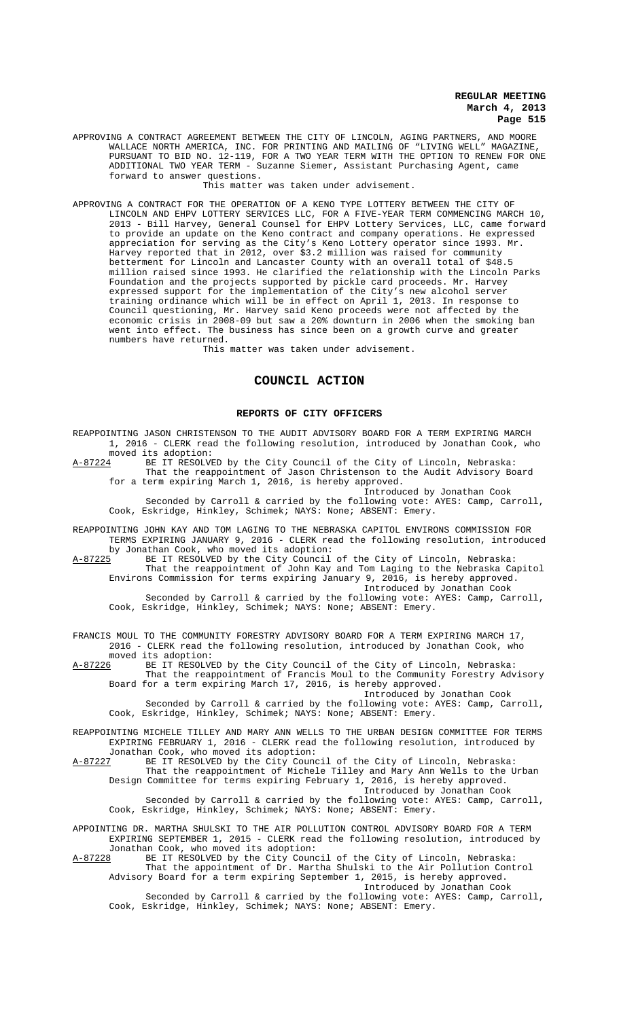APPROVING A CONTRACT AGREEMENT BETWEEN THE CITY OF LINCOLN, AGING PARTNERS, AND MOORE WALLACE NORTH AMERICA, INC. FOR PRINTING AND MAILING OF "LIVING WELL" MAGAZINE, PURSUANT TO BID NO. 12-119, FOR A TWO YEAR TERM WITH THE OPTION TO RENEW FOR ONE ADDITIONAL TWO YEAR TERM - Suzanne Siemer, Assistant Purchasing Agent, came forward to answer questions.

This matter was taken under advisement.

APPROVING A CONTRACT FOR THE OPERATION OF A KENO TYPE LOTTERY BETWEEN THE CITY OF LINCOLN AND EHPV LOTTERY SERVICES LLC, FOR A FIVE-YEAR TERM COMMENCING MARCH 10, 2013 - Bill Harvey, General Counsel for EHPV Lottery Services, LLC, came forward to provide an update on the Keno contract and company operations. He expressed appreciation for serving as the City's Keno Lottery operator since 1993. Mr. Harvey reported that in 2012, over \$3.2 million was raised for community betterment for Lincoln and Lancaster County with an overall total of \$48.5 million raised since 1993. He clarified the relationship with the Lincoln Parks Foundation and the projects supported by pickle card proceeds. Mr. Harvey expressed support for the implementation of the City's new alcohol server training ordinance which will be in effect on April 1, 2013. In response to Council questioning, Mr. Harvey said Keno proceeds were not affected by the economic crisis in 2008-09 but saw a 20% downturn in 2006 when the smoking ban went into effect. The business has since been on a growth curve and greater numbers have returned.

This matter was taken under advisement.

#### **COUNCIL ACTION**

#### **REPORTS OF CITY OFFICERS**

REAPPOINTING JASON CHRISTENSON TO THE AUDIT ADVISORY BOARD FOR A TERM EXPIRING MARCH 1, 2016 - CLERK read the following resolution, introduced by Jonathan Cook, who moved its adoption:<br>A-87224 BE IT RESOLVE BE IT RESOLVED by the City Council of the City of Lincoln, Nebraska:

That the reappointment of Jason Christenson to the Audit Advisory Board for a term expiring March 1, 2016, is hereby approved.

Introduced by Jonathan Cook Seconded by Carroll & carried by the following vote: AYES: Camp, Carroll, Cook, Eskridge, Hinkley, Schimek; NAYS: None; ABSENT: Emery.

REAPPOINTING JOHN KAY AND TOM LAGING TO THE NEBRASKA CAPITOL ENVIRONS COMMISSION FOR TERMS EXPIRING JANUARY 9, 2016 - CLERK read the following resolution, introduced

by Jonathan Cook, who moved its adoption:<br>A-87225 BE IT RESOLVED by the City Council A-87225 BE IT RESOLVED by the City Council of the City of Lincoln, Nebraska: That the reappointment of John Kay and Tom Laging to the Nebraska Capitol Environs Commission for terms expiring January 9, 2016, is hereby approved. Introduced by Jonathan Cook

Seconded by Carroll & carried by the following vote: AYES: Camp, Carroll, Cook, Eskridge, Hinkley, Schimek; NAYS: None; ABSENT: Emery.

FRANCIS MOUL TO THE COMMUNITY FORESTRY ADVISORY BOARD FOR A TERM EXPIRING MARCH 17, 2016 - CLERK read the following resolution, introduced by Jonathan Cook, who

moved its adoption:<br>A-87226 BE IT RESOLV BE IT RESOLVED by the City Council of the City of Lincoln, Nebraska: That the reappointment of Francis Moul to the Community Forestry Advisory Board for a term expiring March 17, 2016, is hereby approved.

Introduced by Jonathan Cook Seconded by Carroll & carried by the following vote: AYES: Camp, Carroll, Cook, Eskridge, Hinkley, Schimek; NAYS: None; ABSENT: Emery.

REAPPOINTING MICHELE TILLEY AND MARY ANN WELLS TO THE URBAN DESIGN COMMITTEE FOR TERMS EXPIRING FEBRUARY 1, 2016 - CLERK read the following resolution, introduced by

Jonathan Cook, who moved its adoption: A-87227 BE IT RESOLVED by the City Council of the City of Lincoln, Nebraska: That the reappointment of Michele Tilley and Mary Ann Wells to the Urban Design Committee for terms expiring February 1, 2016, is hereby approved. Introduced by Jonathan Cook

Seconded by Carroll & carried by the following vote: AYES: Camp, Carroll, Cook, Eskridge, Hinkley, Schimek; NAYS: None; ABSENT: Emery.

APPOINTING DR. MARTHA SHULSKI TO THE AIR POLLUTION CONTROL ADVISORY BOARD FOR A TERM EXPIRING SEPTEMBER 1, 2015 - CLERK read the following resolution, introduced by Jonathan Cook, who moved its adoption:<br>A-87228 BE IT RESOLVED by the City Cound

A-87228 BE IT RESOLVED by the City Council of the City of Lincoln, Nebraska: That the appointment of Dr. Martha Shulski to the Air Pollution Control Advisory Board for a term expiring September 1, 2015, is hereby approved.

Introduced by Jonathan Cook Seconded by Carroll & carried by the following vote: AYES: Camp, Carroll, Cook, Eskridge, Hinkley, Schimek; NAYS: None; ABSENT: Emery.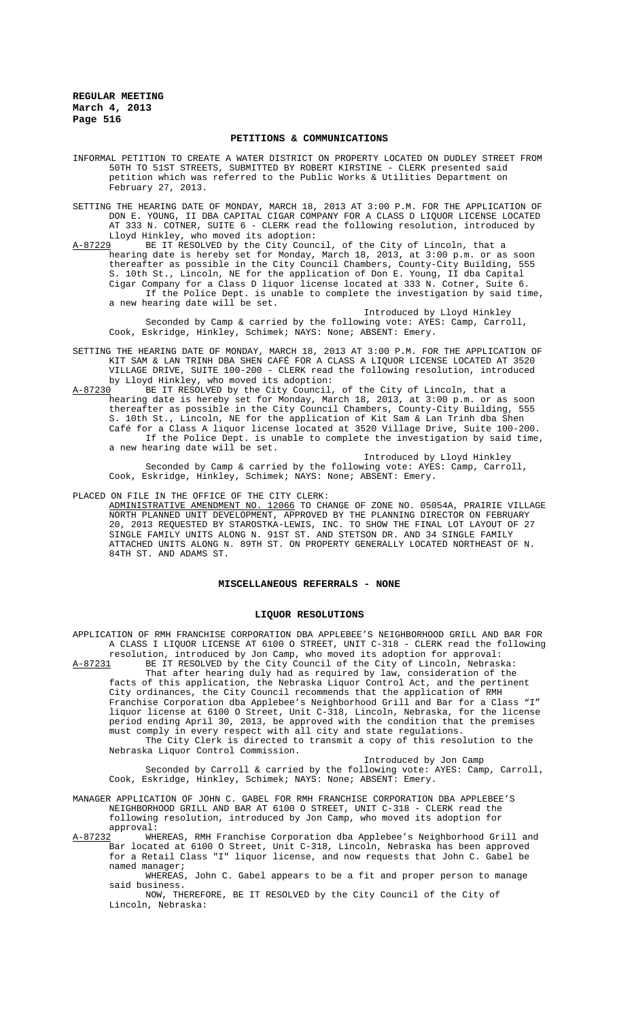#### **PETITIONS & COMMUNICATIONS**

- INFORMAL PETITION TO CREATE A WATER DISTRICT ON PROPERTY LOCATED ON DUDLEY STREET FROM 50TH TO 51ST STREETS, SUBMITTED BY ROBERT KIRSTINE - CLERK presented said petition which was referred to the Public Works & Utilities Department on February 27, 2013.
- SETTING THE HEARING DATE OF MONDAY, MARCH 18, 2013 AT 3:00 P.M. FOR THE APPLICATION OF DON E. YOUNG, II DBA CAPITAL CIGAR COMPANY FOR A CLASS D LIQUOR LICENSE LOCATED AT 333 N. COTNER, SUITE 6 - CLERK read the following resolution, introduced by Lloyd Hinkley, who moved its adoption:
- A-87229 BE IT RESOLVED by the City Council, of the City of Lincoln, that a hearing date is hereby set for Monday, March 18, 2013, at 3:00 p.m. or as soon thereafter as possible in the City Council Chambers, County-City Building, 555 S. 10th St., Lincoln, NE for the application of Don E. Young, II dba Capital Cigar Company for a Class D liquor license located at 333 N. Cotner, Suite 6. If the Police Dept. is unable to complete the investigation by said time, a new hearing date will be set.

Introduced by Lloyd Hinkley Seconded by Camp & carried by the following vote: AYES: Camp, Carroll, Cook, Eskridge, Hinkley, Schimek; NAYS: None; ABSENT: Emery.

- SETTING THE HEARING DATE OF MONDAY, MARCH 18, 2013 AT 3:00 P.M. FOR THE APPLICATION OF KIT SAM & LAN TRINH DBA SHEN CAFÉ FOR A CLASS A LIQUOR LICENSE LOCATED AT 3520 VILLAGE DRIVE, SUITE 100-200 - CLERK read the following resolution, introduced by Lloyd Hinkley, who moved its adoption:<br>A-87230 BE IT RESOLVED by the City Council
- A-87230 BE IT RESOLVED by the City Council, of the City of Lincoln, that a hearing date is hereby set for Monday, March 18, 2013, at 3:00 p.m. or as soon thereafter as possible in the City Council Chambers, County-City Building, 555 S. 10th St., Lincoln, NE for the application of Kit Sam & Lan Trinh dba Shen Café for a Class A liquor license located at 3520 Village Drive, Suite 100-200. If the Police Dept. is unable to complete the investigation by said time, a new hearing date will be set.

Introduced by Lloyd Hinkley Seconded by Camp & carried by the following vote: AYES: Camp, Carroll, Cook, Eskridge, Hinkley, Schimek; NAYS: None; ABSENT: Emery.

PLACED ON FILE IN THE OFFICE OF THE CITY CLERK: ADMINISTRATIVE AMENDMENT NO. 12066 TO CHANGE OF ZONE NO. 05054A, PRAIRIE VILLAGE NORTH PLANNED UNIT DEVELOPMENT, APPROVED BY THE PLANNING DIRECTOR ON FEBRUARY 20, 2013 REQUESTED BY STAROSTKA-LEWIS, INC. TO SHOW THE FINAL LOT LAYOUT OF 27 SINGLE FAMILY UNITS ALONG N. 91ST ST. AND STETSON DR. AND 34 SINGLE FAMILY ATTACHED UNITS ALONG N. 89TH ST. ON PROPERTY GENERALLY LOCATED NORTHEAST OF N. 84TH ST. AND ADAMS ST.

#### **MISCELLANEOUS REFERRALS - NONE**

#### **LIQUOR RESOLUTIONS**

APPLICATION OF RMH FRANCHISE CORPORATION DBA APPLEBEE'S NEIGHBORHOOD GRILL AND BAR FOR A CLASS I LIQUOR LICENSE AT 6100 O STREET, UNIT C-318 - CLERK read the following resolution, introduced by Jon Camp, who moved its adoption for approval: A-87231 BE IT RESOLVED by the City Council of the City of Lincoln, Nebraska: That after hearing duly had as required by law, consideration of the facts of this application, the Nebraska Liquor Control Act, and the pertinent City ordinances, the City Council recommends that the application of RMH Franchise Corporation dba Applebee's Neighborhood Grill and Bar for a Class "I" liquor license at 6100 O Street, Unit C-318, Lincoln, Nebraska, for the license period ending April 30, 2013, be approved with the condition that the premises must comply in every respect with all city and state regulations. The City Clerk is directed to transmit a copy of this resolution to the Nebraska Liquor Control Commission. Introduced by Jon Camp

Seconded by Carroll & carried by the following vote: AYES: Camp, Carroll, Cook, Eskridge, Hinkley, Schimek; NAYS: None; ABSENT: Emery.

MANAGER APPLICATION OF JOHN C. GABEL FOR RMH FRANCHISE CORPORATION DBA APPLEBEE'S NEIGHBORHOOD GRILL AND BAR AT 6100 O STREET, UNIT C-318 - CLERK read the following resolution, introduced by Jon Camp, who moved its adoption for

approval:<br><u>A-87</u>232 WH A-87232 MHEREAS, RMH Franchise Corporation dba Applebee's Neighborhood Grill and Bar located at 6100 O Street, Unit C-318, Lincoln, Nebraska has been approved for a Retail Class "I" liquor license, and now requests that John C. Gabel be named manager;

WHEREAS, John C. Gabel appears to be a fit and proper person to manage said business.

NOW, THEREFORE, BE IT RESOLVED by the City Council of the City of Lincoln, Nebraska: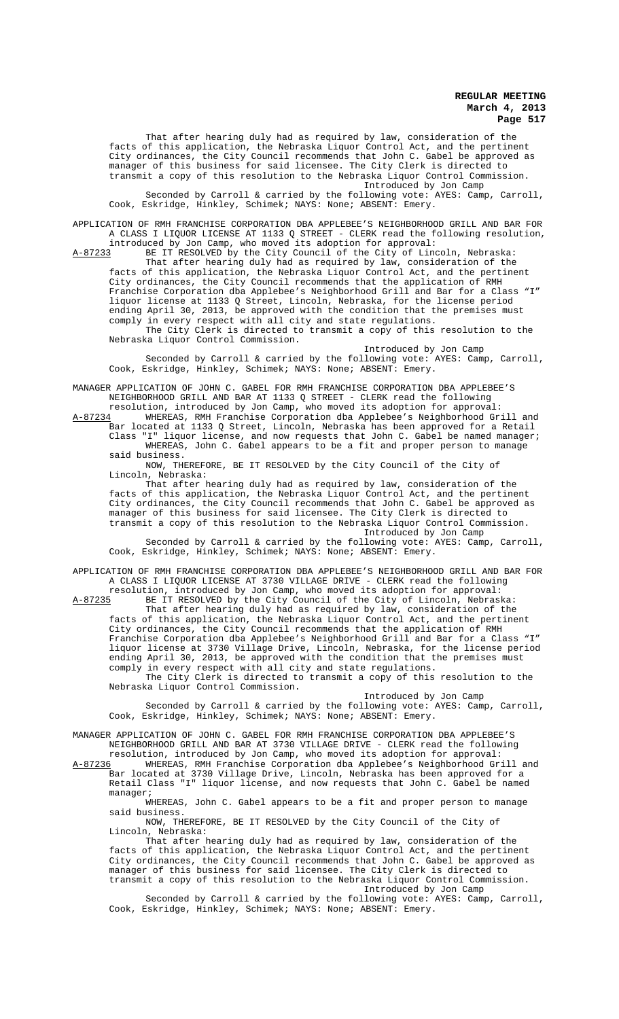That after hearing duly had as required by law, consideration of the facts of this application, the Nebraska Liquor Control Act, and the pertinent City ordinances, the City Council recommends that John C. Gabel be approved as manager of this business for said licensee. The City Clerk is directed to transmit a copy of this resolution to the Nebraska Liquor Control Commission. Introduced by Jon Camp

Seconded by Carroll & carried by the following vote: AYES: Camp, Carroll, Cook, Eskridge, Hinkley, Schimek; NAYS: None; ABSENT: Emery.

APPLICATION OF RMH FRANCHISE CORPORATION DBA APPLEBEE'S NEIGHBORHOOD GRILL AND BAR FOR A CLASS I LIQUOR LICENSE AT 1133 Q STREET - CLERK read the following resolution, introduced by Jon Camp, who moved its adoption for approval:

A-87233 BE IT RESOLVED by the City Council of the City of Lincoln, Nebraska: That after hearing duly had as required by law, consideration of the facts of this application, the Nebraska Liquor Control Act, and the pertinent City ordinances, the City Council recommends that the application of RMH Franchise Corporation dba Applebee's Neighborhood Grill and Bar for a Class "I" liquor license at 1133 Q Street, Lincoln, Nebraska, for the license period ending April 30, 2013, be approved with the condition that the premises must comply in every respect with all city and state regulations.

The City Clerk is directed to transmit a copy of this resolution to the Nebraska Liquor Control Commission.

Introduced by Jon Camp Seconded by Carroll & carried by the following vote: AYES: Camp, Carroll, Cook, Eskridge, Hinkley, Schimek; NAYS: None; ABSENT: Emery.

MANAGER APPLICATION OF JOHN C. GABEL FOR RMH FRANCHISE CORPORATION DBA APPLEBEE'S NEIGHBORHOOD GRILL AND BAR AT 1133 Q STREET - CLERK read the following

resolution, introduced by Jon Camp, who moved its adoption for approval:<br>A-87234 WHEREAS, RMH Franchise Corporation dba Applebee's Neighborhood Gr A-87234 MHEREAS, RMH Franchise Corporation dba Applebee's Neighborhood Grill and Bar located at 1133 Q Street, Lincoln, Nebraska has been approved for a Retail Class "I" liquor license, and now requests that John C. Gabel be named manager; WHEREAS, John C. Gabel appears to be a fit and proper person to manage said business.

NOW, THEREFORE, BE IT RESOLVED by the City Council of the City of Lincoln, Nebraska:

That after hearing duly had as required by law, consideration of the facts of this application, the Nebraska Liquor Control Act, and the pertinent City ordinances, the City Council recommends that John C. Gabel be approved as manager of this business for said licensee. The City Clerk is directed to transmit a copy of this resolution to the Nebraska Liquor Control Commission.

Introduced by Jon Camp Seconded by Carroll & carried by the following vote: AYES: Camp, Carroll, Cook, Eskridge, Hinkley, Schimek; NAYS: None; ABSENT: Emery.

APPLICATION OF RMH FRANCHISE CORPORATION DBA APPLEBEE'S NEIGHBORHOOD GRILL AND BAR FOR A CLASS I LIQUOR LICENSE AT 3730 VILLAGE DRIVE - CLERK read the following resolution, introduced by Jon Camp, who moved its adoption for approval:

resolution, introduced by Jon Camp, who moved its adoption for approval:<br>A-87235 BE IT RESOLVED by the City Council of the City of Lincoln, Nebras BE IT RESOLVED by the City Council of the City of Lincoln, Nebraska: That after hearing duly had as required by law, consideration of the facts of this application, the Nebraska Liquor Control Act, and the pertinent City ordinances, the City Council recommends that the application of RMH Franchise Corporation dba Applebee's Neighborhood Grill and Bar for a Class "I" liquor license at 3730 Village Drive, Lincoln, Nebraska, for the license period ending April 30, 2013, be approved with the condition that the premises must comply in every respect with all city and state regulations. The City Clerk is directed to transmit a copy of this resolution to the

Nebraska Liquor Control Commission.

Introduced by Jon Camp<br>lowing vote: AYES: Camp, Carroll, Seconded by Carroll & carried by the following vote: AYES: Camp, Carroll, Cook, Eskridge, Hinkley, Schimek; NAYS: None; ABSENT: Emery.

MANAGER APPLICATION OF JOHN C. GABEL FOR RMH FRANCHISE CORPORATION DBA APPLEBEE'S NEIGHBORHOOD GRILL AND BAR AT 3730 VILLAGE DRIVE - CLERK read the following resolution, introduced by Jon Camp, who moved its adoption for approval:

A-87236 WHEREAS, RMH Franchise Corporation dba Applebee's Neighborhood Grill and Bar located at 3730 Village Drive, Lincoln, Nebraska has been approved for a Retail Class "I" liquor license, and now requests that John C. Gabel be named manager;

WHEREAS, John C. Gabel appears to be a fit and proper person to manage said business.

NOW, THEREFORE, BE IT RESOLVED by the City Council of the City of Lincoln, Nebraska:

That after hearing duly had as required by law, consideration of the facts of this application, the Nebraska Liquor Control Act, and the pertinent City ordinances, the City Council recommends that John C. Gabel be approved as manager of this business for said licensee. The City Clerk is directed to transmit a copy of this resolution to the Nebraska Liquor Control Commission. Introduced by Jon Camp

Seconded by Carroll & carried by the following vote: AYES: Camp, Carroll, Cook, Eskridge, Hinkley, Schimek; NAYS: None; ABSENT: Emery.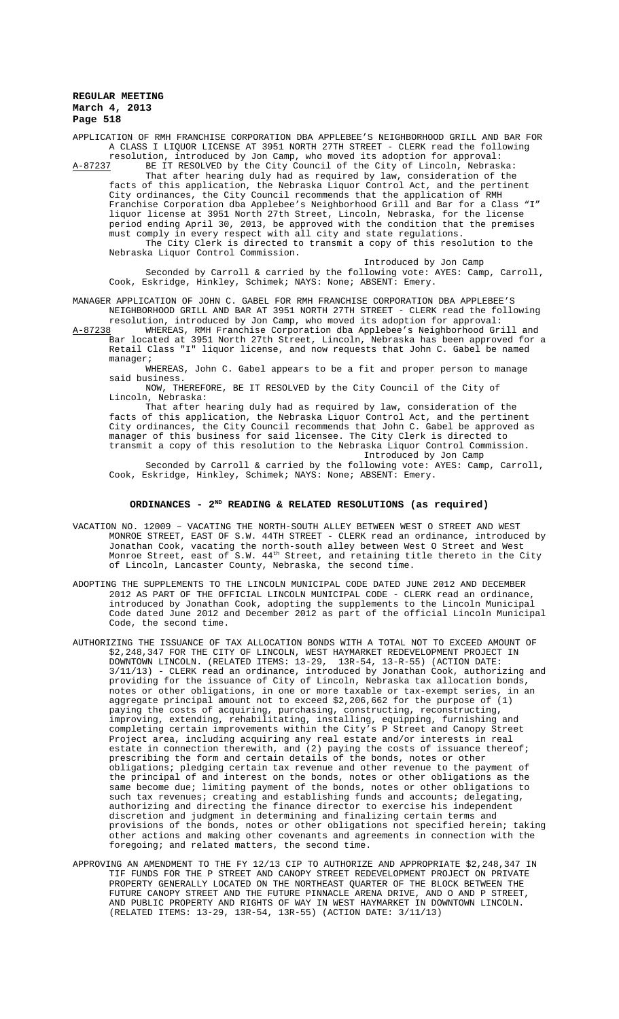APPLICATION OF RMH FRANCHISE CORPORATION DBA APPLEBEE'S NEIGHBORHOOD GRILL AND BAR FOR A CLASS I LIQUOR LICENSE AT 3951 NORTH 27TH STREET - CLERK read the following resolution, introduced by Jon Camp, who moved its adoption for approval: A-87237 BE IT RESOLVED by the City Council of the City of Lincoln, Nebraska: That after hearing duly had as required by law, consideration of the facts of this application, the Nebraska Liquor Control Act, and the pertinent City ordinances, the City Council recommends that the application of RMH Franchise Corporation dba Applebee's Neighborhood Grill and Bar for a Class "I" liquor license at 3951 North 27th Street, Lincoln, Nebraska, for the license period ending April 30, 2013, be approved with the condition that the premises must comply in every respect with all city and state regulations. The City Clerk is directed to transmit a copy of this resolution to the Nebraska Liquor Control Commission. Introduced by Jon Camp Seconded by Carroll & carried by the following vote: AYES: Camp, Carroll, Cook, Eskridge, Hinkley, Schimek; NAYS: None; ABSENT: Emery.

MANAGER APPLICATION OF JOHN C. GABEL FOR RMH FRANCHISE CORPORATION DBA APPLEBEE'S NEIGHBORHOOD GRILL AND BAR AT 3951 NORTH 27TH STREET - CLERK read the following

resolution, introduced by Jon Camp, who moved its adoption for approval: A-87238 MHEREAS, RMH Franchise Corporation dba Applebee's Neighborhood Grill and Bar located at 3951 North 27th Street, Lincoln, Nebraska has been approved for a Retail Class "I" liquor license, and now requests that John C. Gabel be named manager;

WHEREAS, John C. Gabel appears to be a fit and proper person to manage said business.

NOW, THEREFORE, BE IT RESOLVED by the City Council of the City of Lincoln, Nebraska:

That after hearing duly had as required by law, consideration of the facts of this application, the Nebraska Liquor Control Act, and the pertinent City ordinances, the City Council recommends that John C. Gabel be approved as manager of this business for said licensee. The City Clerk is directed to transmit a copy of this resolution to the Nebraska Liquor Control Commission. Introduced by Jon Camp

Seconded by Carroll & carried by the following vote: AYES: Camp, Carroll, Cook, Eskridge, Hinkley, Schimek; NAYS: None; ABSENT: Emery.

# ORDINANCES - 2<sup>ND</sup> READING & RELATED RESOLUTIONS (as required)

- VACATION NO. 12009 VACATING THE NORTH-SOUTH ALLEY BETWEEN WEST O STREET AND WEST MONROE STREET, EAST OF S.W. 44TH STREET - CLERK read an ordinance, introduced by Jonathan Cook, vacating the north-south alley between West O Street and West Monroe Street, east of S.W.  $44<sup>th</sup>$  Street, and retaining title thereto in the City of Lincoln, Lancaster County, Nebraska, the second time.
- ADOPTING THE SUPPLEMENTS TO THE LINCOLN MUNICIPAL CODE DATED JUNE 2012 AND DECEMBER 2012 AS PART OF THE OFFICIAL LINCOLN MUNICIPAL CODE - CLERK read an ordinance, introduced by Jonathan Cook, adopting the supplements to the Lincoln Municipal Code dated June 2012 and December 2012 as part of the official Lincoln Municipal Code, the second time.
- AUTHORIZING THE ISSUANCE OF TAX ALLOCATION BONDS WITH A TOTAL NOT TO EXCEED AMOUNT OF \$2,248,347 FOR THE CITY OF LINCOLN, WEST HAYMARKET REDEVELOPMENT PROJECT IN DOWNTOWN LINCOLN. (RELATED ITEMS: 13-29, 13R-54, 13-R-55) (ACTION DATE: 3/11/13) - CLERK read an ordinance, introduced by Jonathan Cook, authorizing and providing for the issuance of City of Lincoln, Nebraska tax allocation bonds, notes or other obligations, in one or more taxable or tax-exempt series, in an aggregate principal amount not to exceed \$2,206,662 for the purpose of (1) paying the costs of acquiring, purchasing, constructing, reconstructing, improving, extending, rehabilitating, installing, equipping, furnishing and completing certain improvements within the City's P Street and Canopy Street Project area, including acquiring any real estate and/or interests in real estate in connection therewith, and (2) paying the costs of issuance thereof; prescribing the form and certain details of the bonds, notes or other obligations; pledging certain tax revenue and other revenue to the payment of<br>the principal of and interest on the bonds, notes or other obligations as the of and interest on the bonds, notes or other obligations as the same become due; limiting payment of the bonds, notes or other obligations to such tax revenues; creating and establishing funds and accounts; delegating, authorizing and directing the finance director to exercise his independent discretion and judgment in determining and finalizing certain terms and provisions of the bonds, notes or other obligations not specified herein; taking other actions and making other covenants and agreements in connection with the foregoing; and related matters, the second time.
- APPROVING AN AMENDMENT TO THE FY 12/13 CIP TO AUTHORIZE AND APPROPRIATE \$2,248,347 IN TIF FUNDS FOR THE P STREET AND CANOPY STREET REDEVELOPMENT PROJECT ON PRIVATE PROPERTY GENERALLY LOCATED ON THE NORTHEAST QUARTER OF THE BLOCK BETWEEN THE FUTURE CANOPY STREET AND THE FUTURE PINNACLE ARENA DRIVE, AND O AND P STREET, AND PUBLIC PROPERTY AND RIGHTS OF WAY IN WEST HAYMARKET IN DOWNTOWN LINCOLN. (RELATED ITEMS: 13-29, 13R-54, 13R-55) (ACTION DATE: 3/11/13)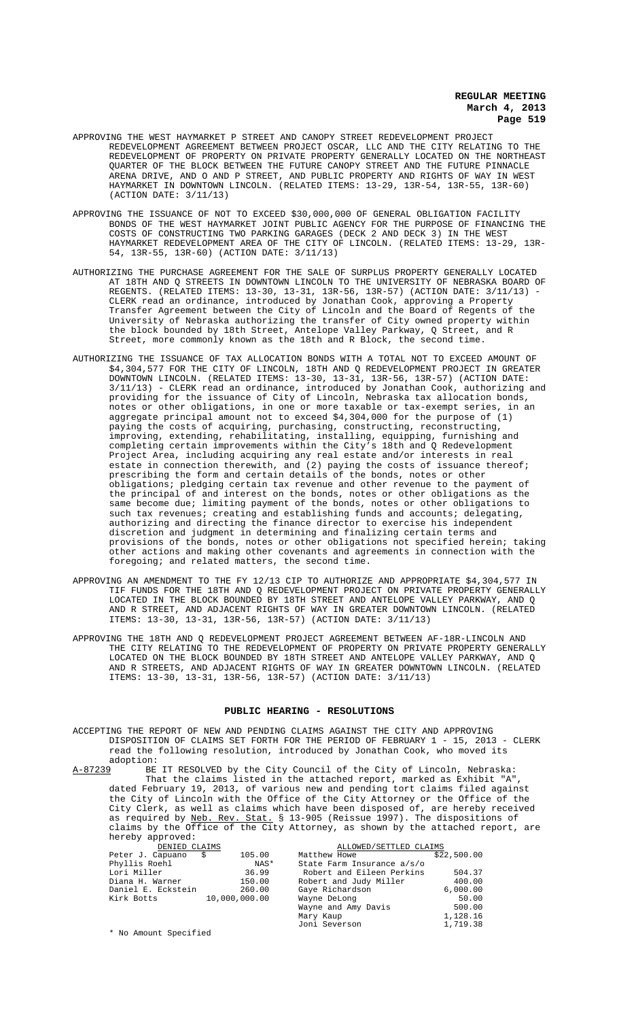- APPROVING THE WEST HAYMARKET P STREET AND CANOPY STREET REDEVELOPMENT PROJECT REDEVELOPMENT AGREEMENT BETWEEN PROJECT OSCAR, LLC AND THE CITY RELATING TO THE REDEVELOPMENT OF PROPERTY ON PRIVATE PROPERTY GENERALLY LOCATED ON THE NORTHEAST QUARTER OF THE BLOCK BETWEEN THE FUTURE CANOPY STREET AND THE FUTURE PINNACLE ARENA DRIVE, AND O AND P STREET, AND PUBLIC PROPERTY AND RIGHTS OF WAY IN WEST HAYMARKET IN DOWNTOWN LINCOLN. (RELATED ITEMS: 13-29, 13R-54, 13R-55, 13R-60) (ACTION DATE: 3/11/13)
- APPROVING THE ISSUANCE OF NOT TO EXCEED \$30,000,000 OF GENERAL OBLIGATION FACILITY BONDS OF THE WEST HAYMARKET JOINT PUBLIC AGENCY FOR THE PURPOSE OF FINANCING THE COSTS OF CONSTRUCTING TWO PARKING GARAGES (DECK 2 AND DECK 3) IN THE WEST HAYMARKET REDEVELOPMENT AREA OF THE CITY OF LINCOLN. (RELATED ITEMS: 13-29, 13R-54, 13R-55, 13R-60) (ACTION DATE: 3/11/13)
- AUTHORIZING THE PURCHASE AGREEMENT FOR THE SALE OF SURPLUS PROPERTY GENERALLY LOCATED AT 18TH AND Q STREETS IN DOWNTOWN LINCOLN TO THE UNIVERSITY OF NEBRASKA BOARD OF REGENTS. (RELATED ITEMS: 13-30, 13-31, 13R-56, 13R-57) (ACTION DATE: 3/11/13) CLERK read an ordinance, introduced by Jonathan Cook, approving a Property Transfer Agreement between the City of Lincoln and the Board of Regents of the University of Nebraska authorizing the transfer of City owned property within the block bounded by 18th Street, Antelope Valley Parkway, Q Street, and R Street, more commonly known as the 18th and R Block, the second time.
- AUTHORIZING THE ISSUANCE OF TAX ALLOCATION BONDS WITH A TOTAL NOT TO EXCEED AMOUNT OF \$4,304,577 FOR THE CITY OF LINCOLN, 18TH AND Q REDEVELOPMENT PROJECT IN GREATER DOWNTOWN LINCOLN. (RELATED ITEMS: 13-30, 13-31, 13R-56, 13R-57) (ACTION DATE: 3/11/13) - CLERK read an ordinance, introduced by Jonathan Cook, authorizing and providing for the issuance of City of Lincoln, Nebraska tax allocation bonds, notes or other obligations, in one or more taxable or tax-exempt series, in an aggregate principal amount not to exceed \$4,304,000 for the purpose of (1) paying the costs of acquiring, purchasing, constructing, reconstructing, improving, extending, rehabilitating, installing, equipping, furnishing and completing certain improvements within the City's 18th and Q Redevelopment Project Area, including acquiring any real estate and/or interests in real estate in connection therewith, and (2) paying the costs of issuance thereof; prescribing the form and certain details of the bonds, notes or other obligations; pledging certain tax revenue and other revenue to the payment of the principal of and interest on the bonds, notes or other obligations as the same become due; limiting payment of the bonds, notes or other obligations to such tax revenues; creating and establishing funds and accounts; delegating, authorizing and directing the finance director to exercise his independent discretion and judgment in determining and finalizing certain terms and provisions of the bonds, notes or other obligations not specified herein; taking other actions and making other covenants and agreements in connection with the foregoing; and related matters, the second time.
- APPROVING AN AMENDMENT TO THE FY 12/13 CIP TO AUTHORIZE AND APPROPRIATE \$4,304,577 IN TIF FUNDS FOR THE 18TH AND Q REDEVELOPMENT PROJECT ON PRIVATE PROPERTY GENERALLY LOCATED IN THE BLOCK BOUNDED BY 18TH STREET AND ANTELOPE VALLEY PARKWAY, AND Q AND R STREET, AND ADJACENT RIGHTS OF WAY IN GREATER DOWNTOWN LINCOLN. (RELATED ITEMS: 13-30, 13-31, 13R-56, 13R-57) (ACTION DATE: 3/11/13)
- APPROVING THE 18TH AND Q REDEVELOPMENT PROJECT AGREEMENT BETWEEN AF-18R-LINCOLN AND THE CITY RELATING TO THE REDEVELOPMENT OF PROPERTY ON PRIVATE PROPERTY GENERALLY LOCATED ON THE BLOCK BOUNDED BY 18TH STREET AND ANTELOPE VALLEY PARKWAY, AND Q AND R STREETS, AND ADJACENT RIGHTS OF WAY IN GREATER DOWNTOWN LINCOLN. (RELATED ITEMS: 13-30, 13-31, 13R-56, 13R-57) (ACTION DATE: 3/11/13)

#### **PUBLIC HEARING - RESOLUTIONS**

ACCEPTING THE REPORT OF NEW AND PENDING CLAIMS AGAINST THE CITY AND APPROVING DISPOSITION OF CLAIMS SET FORTH FOR THE PERIOD OF FEBRUARY 1 - 15, 2013 - CLERK read the following resolution, introduced by Jonathan Cook, who moved its adoption:<br>A-87239 BE

BE IT RESOLVED by the City Council of the City of Lincoln, Nebraska: That the claims listed in the attached report, marked as Exhibit "A", dated February 19, 2013, of various new and pending tort claims filed against the City of Lincoln with the Office of the City Attorney or the Office of the City Clerk, as well as claims which have been disposed of, are hereby received as required by Neb. Rev. Stat. § 13-905 (Reissue 1997). The dispositions of claims by the Office of the City Attorney, as shown by the attached report, are hereby approved:

| DENIED CLAIMS |                    |               | ALLOWED/SETTLED CLAIMS     |             |
|---------------|--------------------|---------------|----------------------------|-------------|
|               | Peter J. Capuano   | 105.00<br>\$  | Matthew Howe               | \$22,500.00 |
|               | Phyllis Roehl      | NAS*          | State Farm Insurance a/s/o |             |
|               | Lori Miller        | 36.99         | Robert and Eileen Perkins  | 504.37      |
|               | Diana H. Warner    | 150.00        | Robert and Judy Miller     | 400.00      |
|               | Daniel E. Eckstein | 260.00        | Gaye Richardson            | 6,000.00    |
|               | Kirk Botts         | 10,000,000.00 | Wayne DeLong               | 50.00       |
|               |                    |               | Wayne and Amy Davis        | 500.00      |
|               |                    |               | Mary Kaup                  | 1,128.16    |
|               |                    |               | Joni Severson              | 1,719.38    |

\* No Amount Specified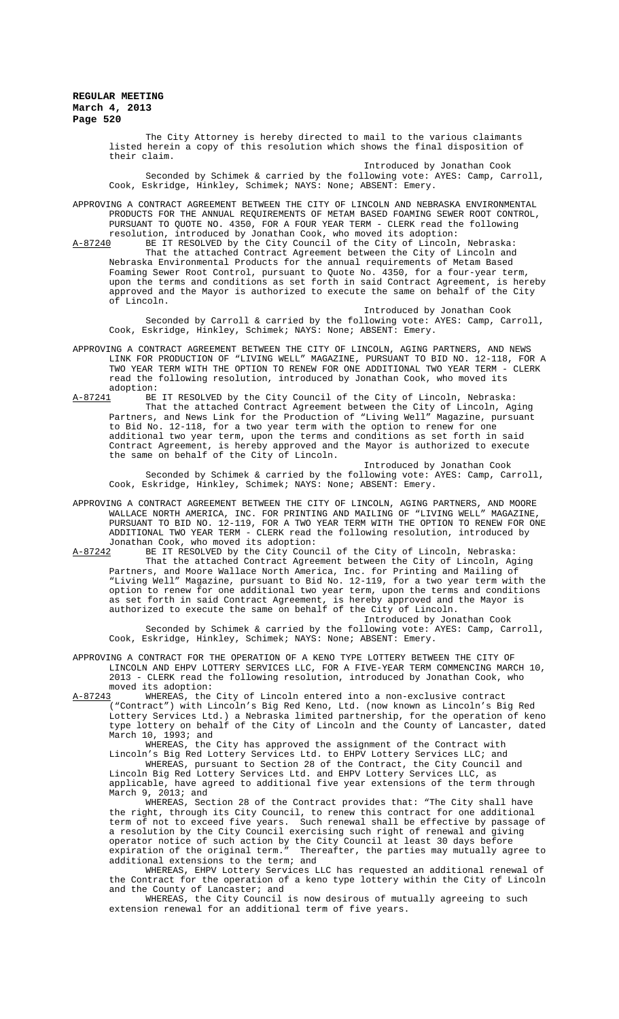> The City Attorney is hereby directed to mail to the various claimants listed herein a copy of this resolution which shows the final disposition of their claim.

Introduced by Jonathan Cook Seconded by Schimek & carried by the following vote: AYES: Camp, Carroll, Cook, Eskridge, Hinkley, Schimek; NAYS: None; ABSENT: Emery.

APPROVING A CONTRACT AGREEMENT BETWEEN THE CITY OF LINCOLN AND NEBRASKA ENVIRONMENTAL PRODUCTS FOR THE ANNUAL REQUIREMENTS OF METAM BASED FOAMING SEWER ROOT CONTROL, PURSUANT TO QUOTE NO. 4350, FOR A FOUR YEAR TERM - CLERK read the following

resolution, introduced by Jonathan Cook, who moved its adoption:<br>A-87240 BE IT RESOLVED by the City Council of the City of Lincoln, BE IT RESOLVED by the City Council of the City of Lincoln, Nebraska: That the attached Contract Agreement between the City of Lincoln and Nebraska Environmental Products for the annual requirements of Metam Based Foaming Sewer Root Control, pursuant to Quote No. 4350, for a four-year term, upon the terms and conditions as set forth in said Contract Agreement, is hereby approved and the Mayor is authorized to execute the same on behalf of the City of Lincoln.

Introduced by Jonathan Cook Seconded by Carroll & carried by the following vote: AYES: Camp, Carroll, Cook, Eskridge, Hinkley, Schimek; NAYS: None; ABSENT: Emery.

- APPROVING A CONTRACT AGREEMENT BETWEEN THE CITY OF LINCOLN, AGING PARTNERS, AND NEWS LINK FOR PRODUCTION OF "LIVING WELL" MAGAZINE, PURSUANT TO BID NO. 12-118, FOR A TWO YEAR TERM WITH THE OPTION TO RENEW FOR ONE ADDITIONAL TWO YEAR TERM - CLERK read the following resolution, introduced by Jonathan Cook, who moved its adoption:<br><u>A-87241</u> BE
- A-87241 BE IT RESOLVED by the City Council of the City of Lincoln, Nebraska: That the attached Contract Agreement between the City of Lincoln, Aging Partners, and News Link for the Production of "Living Well" Magazine, pursuant to Bid No. 12-118, for a two year term with the option to renew for one additional two year term, upon the terms and conditions as set forth in said Contract Agreement, is hereby approved and the Mayor is authorized to execute the same on behalf of the City of Lincoln.

Introduced by Jonathan Cook Seconded by Schimek & carried by the following vote: AYES: Camp, Carroll, Cook, Eskridge, Hinkley, Schimek; NAYS: None; ABSENT: Emery.

APPROVING A CONTRACT AGREEMENT BETWEEN THE CITY OF LINCOLN, AGING PARTNERS, AND MOORE WALLACE NORTH AMERICA, INC. FOR PRINTING AND MAILING OF "LIVING WELL" MAGAZINE, PURSUANT TO BID NO. 12-119, FOR A TWO YEAR TERM WITH THE OPTION TO RENEW FOR ONE ADDITIONAL TWO YEAR TERM - CLERK read the following resolution, introduced by

Jonathan Cook, who moved its adoption:<br>A-87242 BE IT RESOLVED by the City Counc A-87242 BE IT RESOLVED by the City Council of the City of Lincoln, Nebraska: That the attached Contract Agreement between the City of Lincoln, Aging Partners, and Moore Wallace North America, Inc. for Printing and Mailing of "Living Well" Magazine, pursuant to Bid No. 12-119, for a two year term with the option to renew for one additional two year term, upon the terms and conditions as set forth in said Contract Agreement, is hereby approved and the Mayor is authorized to execute the same on behalf of the City of Lincoln. Introduced by Jonathan Cook

Seconded by Schimek & carried by the following vote: AYES: Camp, Carroll, Cook, Eskridge, Hinkley, Schimek; NAYS: None; ABSENT: Emery.

APPROVING A CONTRACT FOR THE OPERATION OF A KENO TYPE LOTTERY BETWEEN THE CITY OF LINCOLN AND EHPV LOTTERY SERVICES LLC, FOR A FIVE-YEAR TERM COMMENCING MARCH 10, 2013 - CLERK read the following resolution, introduced by Jonathan Cook, who

moved its adoption:<br>A-87243 WHEREAS, the WHEREAS, the City of Lincoln entered into a non-exclusive contract<br>("Contract") with Lincoln's Big Red Keno, Ltd. (now known as Lincoln's Bi with Lincoln's Big Red Keno, Ltd. (now known as Lincoln's Big Red Lottery Services Ltd.) a Nebraska limited partnership, for the operation of keno type lottery on behalf of the City of Lincoln and the County of Lancaster, dated March 10, 1993; and

WHEREAS, the City has approved the assignment of the Contract with Lincoln's Big Red Lottery Services Ltd. to EHPV Lottery Services LLC; and WHEREAS, pursuant to Section 28 of the Contract, the City Council and Lincoln Big Red Lottery Services Ltd. and EHPV Lottery Services LLC, as

applicable, have agreed to additional five year extensions of the term through March 9, 2013; and

WHEREAS, Section 28 of the Contract provides that: "The City shall have the right, through its City Council, to renew this contract for one additional term of not to exceed five years. Such renewal shall be effective by passage of a resolution by the City Council exercising such right of renewal and giving operator notice of such action by the City Council at least 30 days before expiration of the original term." Thereafter, the parties may mutually agree to additional extensions to the term; and

WHEREAS, EHPV Lottery Services LLC has requested an additional renewal of the Contract for the operation of a keno type lottery within the City of Lincoln and the County of Lancaster; and

WHEREAS, the City Council is now desirous of mutually agreeing to such extension renewal for an additional term of five years.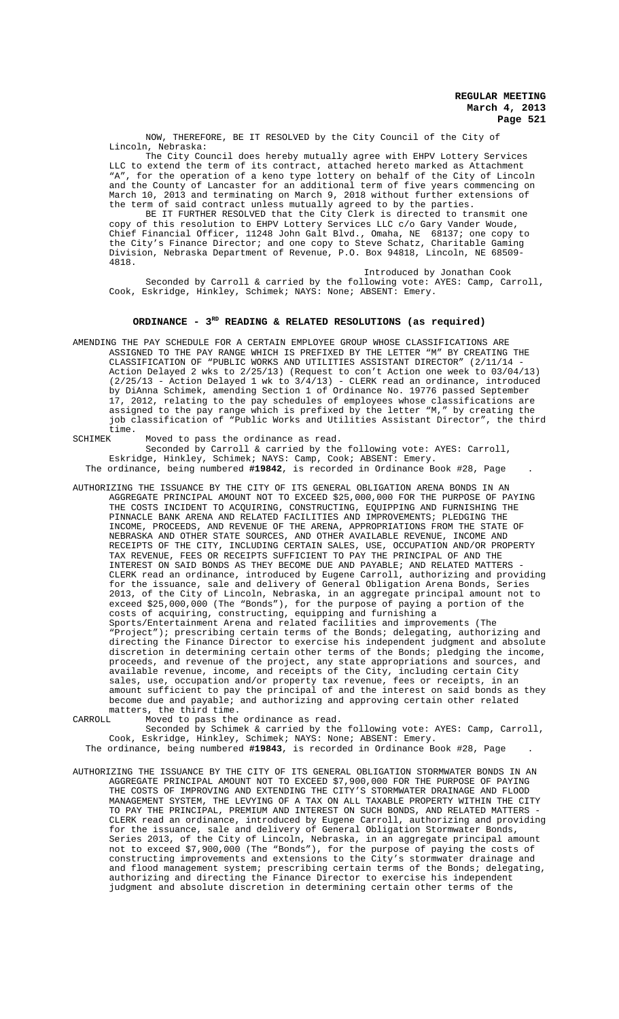NOW, THEREFORE, BE IT RESOLVED by the City Council of the City of Lincoln, Nebraska:

The City Council does hereby mutually agree with EHPV Lottery Services LLC to extend the term of its contract, attached hereto marked as Attachment "A", for the operation of a keno type lottery on behalf of the City of Lincoln and the County of Lancaster for an additional term of five years commencing on March 10, 2013 and terminating on March 9, 2018 without further extensions of the term of said contract unless mutually agreed to by the parties.

BE IT FURTHER RESOLVED that the City Clerk is directed to transmit one copy of this resolution to EHPV Lottery Services LLC c/o Gary Vander Woude, Chief Financial Officer, 11248 John Galt Blvd., Omaha, NE 68137; one copy to the City's Finance Director; and one copy to Steve Schatz, Charitable Gaming Division, Nebraska Department of Revenue, P.O. Box 94818, Lincoln, NE 68509- 4818.

Introduced by Jonathan Cook Seconded by Carroll & carried by the following vote: AYES: Camp, Carroll, Cook, Eskridge, Hinkley, Schimek; NAYS: None; ABSENT: Emery.

# ORDINANCE - 3<sup>RD</sup> READING & RELATED RESOLUTIONS (as required)

AMENDING THE PAY SCHEDULE FOR A CERTAIN EMPLOYEE GROUP WHOSE CLASSIFICATIONS ARE ASSIGNED TO THE PAY RANGE WHICH IS PREFIXED BY THE LETTER "M" BY CREATING THE CLASSIFICATION OF "PUBLIC WORKS AND UTILITIES ASSISTANT DIRECTOR" (2/11/14 - Action Delayed 2 wks to 2/25/13) (Request to con't Action one week to 03/04/13) (2/25/13 - Action Delayed 1 wk to 3/4/13) - CLERK read an ordinance, introduced by DiAnna Schimek, amending Section 1 of Ordinance No. 19776 passed September 2012, relating to the pay schedules of employees whose classifications are assigned to the pay range which is prefixed by the letter "M," by creating the job classification of "Public Works and Utilities Assistant Director", the third time.<br>SCHIMEK

Moved to pass the ordinance as read.

Seconded by Carroll & carried by the following vote: AYES: Carroll, Eskridge, Hinkley, Schimek; NAYS: Camp, Cook; ABSENT: Emery. The ordinance, being numbered **#19842**, is recorded in Ordinance Book #28, Page .

AUTHORIZING THE ISSUANCE BY THE CITY OF ITS GENERAL OBLIGATION ARENA BONDS IN AN AGGREGATE PRINCIPAL AMOUNT NOT TO EXCEED \$25,000,000 FOR THE PURPOSE OF PAYING THE COSTS INCIDENT TO ACQUIRING, CONSTRUCTING, EQUIPPING AND FURNISHING THE PINNACLE BANK ARENA AND RELATED FACILITIES AND IMPROVEMENTS; PLEDGING THE INCOME, PROCEEDS, AND REVENUE OF THE ARENA, APPROPRIATIONS FROM THE STATE OF NEBRASKA AND OTHER STATE SOURCES, AND OTHER AVAILABLE REVENUE, INCOME AND RECEIPTS OF THE CITY, INCLUDING CERTAIN SALES, USE, OCCUPATION AND/OR PROPERTY TAX REVENUE, FEES OR RECEIPTS SUFFICIENT TO PAY THE PRINCIPAL OF AND THE INTEREST ON SAID BONDS AS THEY BECOME DUE AND PAYABLE; AND RELATED MATTERS - CLERK read an ordinance, introduced by Eugene Carroll, authorizing and providing for the issuance, sale and delivery of General Obligation Arena Bonds, Series 2013, of the City of Lincoln, Nebraska, in an aggregate principal amount not to exceed \$25,000,000 (The "Bonds"), for the purpose of paying a portion of the costs of acquiring, constructing, equipping and furnishing a Sports/Entertainment Arena and related facilities and improvements (The "Project"); prescribing certain terms of the Bonds; delegating, authorizing and directing the Finance Director to exercise his independent judgment and absolute discretion in determining certain other terms of the Bonds; pledging the income, proceeds, and revenue of the project, any state appropriations and sources, and available revenue, income, and receipts of the City, including certain City sales, use, occupation and/or property tax revenue, fees or receipts, in an

amount sufficient to pay the principal of and the interest on said bonds as they become due and payable; and authorizing and approving certain other related matters, the third time.<br>CARROLL Moved to pass the

Moved to pass the ordinance as read.

Seconded by Schimek & carried by the following vote: AYES: Camp, Carroll, Cook, Eskridge, Hinkley, Schimek; NAYS: None; ABSENT: Emery. The ordinance, being numbered **#19843**, is recorded in Ordinance Book #28, Page .

AUTHORIZING THE ISSUANCE BY THE CITY OF ITS GENERAL OBLIGATION STORMWATER BONDS IN AN AGGREGATE PRINCIPAL AMOUNT NOT TO EXCEED \$7,900,000 FOR THE PURPOSE OF PAYING THE COSTS OF IMPROVING AND EXTENDING THE CITY'S STORMWATER DRAINAGE AND FLOOD MANAGEMENT SYSTEM, THE LEVYING OF A TAX ON ALL TAXABLE PROPERTY WITHIN THE CITY TO PAY THE PRINCIPAL, PREMIUM AND INTEREST ON SUCH BONDS, AND RELATED MATTERS CLERK read an ordinance, introduced by Eugene Carroll, authorizing and providing for the issuance, sale and delivery of General Obligation Stormwater Bonds, Series 2013, of the City of Lincoln, Nebraska, in an aggregate principal amount not to exceed \$7,900,000 (The "Bonds"), for the purpose of paying the costs of constructing improvements and extensions to the City's stormwater drainage and and flood management system; prescribing certain terms of the Bonds; delegating, authorizing and directing the Finance Director to exercise his independent judgment and absolute discretion in determining certain other terms of the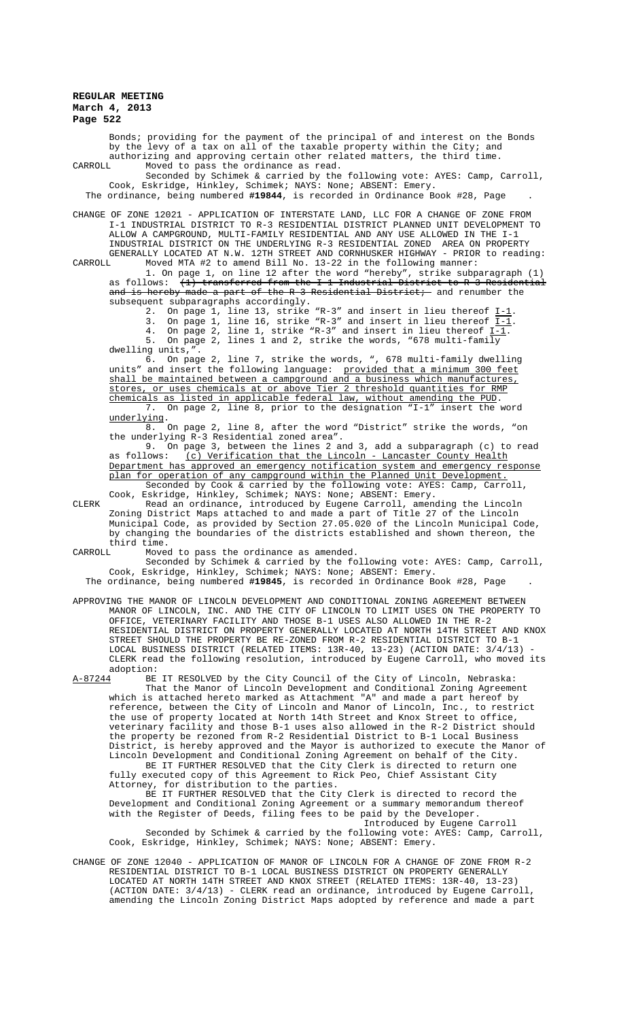Bonds; providing for the payment of the principal of and interest on the Bonds by the levy of a tax on all of the taxable property within the City; and authorizing and approving certain other related matters, the third time.<br>CARROLL Moved to pass the ordinance as read. Moved to pass the ordinance as read.

Seconded by Schimek & carried by the following vote: AYES: Camp, Carroll, Cook, Eskridge, Hinkley, Schimek; NAYS: None; ABSENT: Emery. The ordinance, being numbered **#19844**, is recorded in Ordinance Book #28, Page .

CHANGE OF ZONE 12021 - APPLICATION OF INTERSTATE LAND, LLC FOR A CHANGE OF ZONE FROM I-1 INDUSTRIAL DISTRICT TO R-3 RESIDENTIAL DISTRICT PLANNED UNIT DEVELOPMENT TO ALLOW A CAMPGROUND, MULTI-FAMILY RESIDENTIAL AND ANY USE ALLOWED IN THE I-1 INDUSTRIAL DISTRICT ON THE UNDERLYING R-3 RESIDENTIAL ZONED AREA ON PROPERTY GENERALLY LOCATED AT N.W. 12TH STREET AND CORNHUSKER HIGHWAY - PRIOR to reading: CARROLL Moved MTA #2 to amend Bill No. 13-22 in the following manner:

1. On page 1, on line 12 after the word "hereby", strike subparagraph (1) as follows: <del>(1) transferred from the I-1 Industrial District to R-3 Residential</del> as follows:  $\frac{1}{(1)}$  transferred from the T-1 Industrial District to R-3 Residential district to R-3 Residential district to R-3 Residential district to R-3 Residential district to R-3 Residential District: subsequent subparagraphs accordingly.

2. On page 1, line 13, strike "R-3" and insert in lieu thereof  $I=1$ .

3. On page 1, line 16, strike "R-3" and insert in lieu thereof  $I=1$ . 4. On page 2, line 1, strike "R-3" and insert in lieu thereof  $I=1$ . 5. On page 2, lines 1 and 2, strike the words, "678 multi-family

dwelling units,".<br>6. On page 6. On page 2, line 7, strike the words, ", 678 multi-family dwelling units" and insert the following language: provided that a minimum 300 feet shall be maintained between a campground and a business which manufactures, stores, or uses chemicals at or above Tier 2 threshold quantities for RMP chemicals as listed in applicable federal law, without amending the PUD. 7. On page 2, line 8, prior to the designation "I-1" insert the word  $\frac{\text{underlying}}{8}$ .

8. On page 2, line 8, after the word "District" strike the words, "on the underlying R-3 Residential zoned area".

9. On page 3, between the lines 2 and 3, add a subparagraph (c) to read<br>as follows: (c) Verification that the Lincoln - Lancaster County Health (c) Verification that the Lincoln - Lancaster County Health Department has approved an emergency notification system and emergency response plan for operation of any campground within the Planned Unit Development.<br>Seconded by Cook & carried by the following vote: AYES: Camp, Carro Cook & carried by the following vote: AYES: Camp, Carroll,

Cook, Eskridge, Hinkley, Schimek; NAYS: None; ABSENT: Emery. CLERK Read an ordinance, introduced by Eugene Carroll, amending the Lincoln Zoning District Maps attached to and made a part of Title 27 of the Lincoln Municipal Code, as provided by Section 27.05.020 of the Lincoln Municipal Code, by changing the boundaries of the districts established and shown thereon, the third time.<br>CARROLL Move

Moved to pass the ordinance as amended.

Seconded by Schimek & carried by the following vote: AYES: Camp, Carroll, Cook, Eskridge, Hinkley, Schimek; NAYS: None; ABSENT: Emery.

The ordinance, being numbered **#19845**, is recorded in Ordinance Book #28, Page . APPROVING THE MANOR OF LINCOLN DEVELOPMENT AND CONDITIONAL ZONING AGREEMENT BETWEEN

MANOR OF LINCOLN, INC. AND THE CITY OF LINCOLN TO LIMIT USES ON THE PROPERTY TO OFFICE, VETERINARY FACILITY AND THOSE B-1 USES ALSO ALLOWED IN THE R-2 RESIDENTIAL DISTRICT ON PROPERTY GENERALLY LOCATED AT NORTH 14TH STREET AND KNOX STREET SHOULD THE PROPERTY BE RE-ZONED FROM R-2 RESIDENTIAL DISTRICT TO B-1 LOCAL BUSINESS DISTRICT (RELATED ITEMS: 13R-40, 13-23) (ACTION DATE: 3/4/13) - CLERK read the following resolution, introduced by Eugene Carroll, who moved its  $\begin{array}{c} \texttt{adoption:} \\ \texttt{A-87244} \end{array}$ 

BE IT RESOLVED by the City Council of the City of Lincoln, Nebraska: That the Manor of Lincoln Development and Conditional Zoning Agreement which is attached hereto marked as Attachment "A" and made a part hereof by reference, between the City of Lincoln and Manor of Lincoln, Inc., to restrict the use of property located at North 14th Street and Knox Street to office, veterinary facility and those B-1 uses also allowed in the R-2 District should the property be rezoned from R-2 Residential District to B-1 Local Business District, is hereby approved and the Mayor is authorized to execute the Manor of Lincoln Development and Conditional Zoning Agreement on behalf of the City. BE IT FURTHER RESOLVED that the City Clerk is directed to return one

fully executed copy of this Agreement to Rick Peo, Chief Assistant City Attorney, for distribution to the parties.

BE IT FURTHER RESOLVED that the City Clerk is directed to record the Development and Conditional Zoning Agreement or a summary memorandum thereof with the Register of Deeds, filing fees to be paid by the Developer.

Introduced by Eugene Carroll Seconded by Schimek & carried by the following vote: AYES: Camp, Carroll, Cook, Eskridge, Hinkley, Schimek; NAYS: None; ABSENT: Emery.

CHANGE OF ZONE 12040 - APPLICATION OF MANOR OF LINCOLN FOR A CHANGE OF ZONE FROM R-2 RESIDENTIAL DISTRICT TO B-1 LOCAL BUSINESS DISTRICT ON PROPERTY GENERALLY LOCATED AT NORTH 14TH STREET AND KNOX STREET (RELATED ITEMS: 13R-40, 13-23) (ACTION DATE: 3/4/13) - CLERK read an ordinance, introduced by Eugene Carroll, amending the Lincoln Zoning District Maps adopted by reference and made a part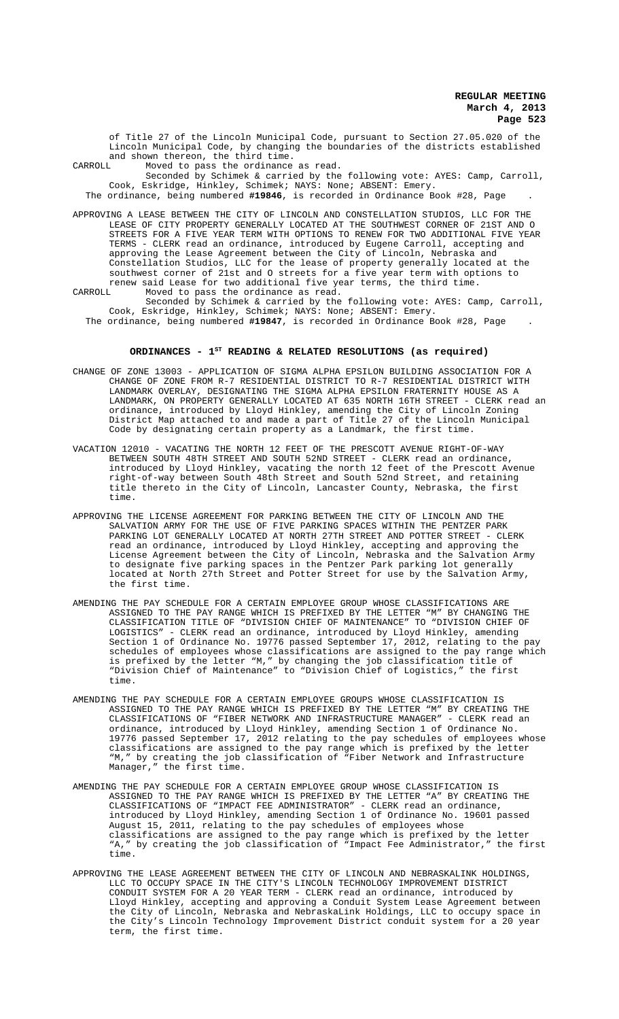of Title 27 of the Lincoln Municipal Code, pursuant to Section 27.05.020 of the Lincoln Municipal Code, by changing the boundaries of the districts established and shown thereon, the third time.

CARROLL Moved to pass the ordinance as read.

Seconded by Schimek & carried by the following vote: AYES: Camp, Carroll, Cook, Eskridge, Hinkley, Schimek; NAYS: None; ABSENT: Emery. The ordinance, being numbered **#19846**, is recorded in Ordinance Book #28, Page .

APPROVING A LEASE BETWEEN THE CITY OF LINCOLN AND CONSTELLATION STUDIOS, LLC FOR THE LEASE OF CITY PROPERTY GENERALLY LOCATED AT THE SOUTHWEST CORNER OF 21ST AND O STREETS FOR A FIVE YEAR TERM WITH OPTIONS TO RENEW FOR TWO ADDITIONAL FIVE YEAR TERMS - CLERK read an ordinance, introduced by Eugene Carroll, accepting and approving the Lease Agreement between the City of Lincoln, Nebraska and Constellation Studios, LLC for the lease of property generally located at the southwest corner of 21st and O streets for a five year term with options to renew said Lease for two additional five year terms, the third time.

CARROLL Moved to pass the ordinance as read.

Seconded by Schimek & carried by the following vote: AYES: Camp, Carroll, Cook, Eskridge, Hinkley, Schimek; NAYS: None; ABSENT: Emery. The ordinance, being numbered **#19847**, is recorded in Ordinance Book #28, Page .

# **ORDINANCES - 1ST READING & RELATED RESOLUTIONS (as required)**

- CHANGE OF ZONE 13003 APPLICATION OF SIGMA ALPHA EPSILON BUILDING ASSOCIATION FOR A CHANGE OF ZONE FROM R-7 RESIDENTIAL DISTRICT TO R-7 RESIDENTIAL DISTRICT WITH LANDMARK OVERLAY, DESIGNATING THE SIGMA ALPHA EPSILON FRATERNITY HOUSE AS A LANDMARK, ON PROPERTY GENERALLY LOCATED AT 635 NORTH 16TH STREET - CLERK read an ordinance, introduced by Lloyd Hinkley, amending the City of Lincoln Zoning District Map attached to and made a part of Title 27 of the Lincoln Municipal Code by designating certain property as a Landmark, the first time.
- VACATION 12010 VACATING THE NORTH 12 FEET OF THE PRESCOTT AVENUE RIGHT-OF-WAY BETWEEN SOUTH 48TH STREET AND SOUTH 52ND STREET - CLERK read an ordinance, introduced by Lloyd Hinkley, vacating the north 12 feet of the Prescott Avenue right-of-way between South 48th Street and South 52nd Street, and retaining title thereto in the City of Lincoln, Lancaster County, Nebraska, the first time.
- APPROVING THE LICENSE AGREEMENT FOR PARKING BETWEEN THE CITY OF LINCOLN AND THE SALVATION ARMY FOR THE USE OF FIVE PARKING SPACES WITHIN THE PENTZER PARK PARKING LOT GENERALLY LOCATED AT NORTH 27TH STREET AND POTTER STREET - CLERK read an ordinance, introduced by Lloyd Hinkley, accepting and approving the License Agreement between the City of Lincoln, Nebraska and the Salvation Army to designate five parking spaces in the Pentzer Park parking lot generally located at North 27th Street and Potter Street for use by the Salvation Army, the first time.
- AMENDING THE PAY SCHEDULE FOR A CERTAIN EMPLOYEE GROUP WHOSE CLASSIFICATIONS ARE ASSIGNED TO THE PAY RANGE WHICH IS PREFIXED BY THE LETTER "M" BY CHANGING THE CLASSIFICATION TITLE OF "DIVISION CHIEF OF MAINTENANCE" TO "DIVISION CHIEF OF LOGISTICS" - CLERK read an ordinance, introduced by Lloyd Hinkley, amending Section 1 of Ordinance No. 19776 passed September 17, 2012, relating to the pay schedules of employees whose classifications are assigned to the pay range which is prefixed by the letter "M," by changing the job classification title of "Division Chief of Maintenance" to "Division Chief of Logistics," the first time.
- AMENDING THE PAY SCHEDULE FOR A CERTAIN EMPLOYEE GROUPS WHOSE CLASSIFICATION IS ASSIGNED TO THE PAY RANGE WHICH IS PREFIXED BY THE LETTER "M" BY CREATING THE CLASSIFICATIONS OF "FIBER NETWORK AND INFRASTRUCTURE MANAGER" - CLERK read an ordinance, introduced by Lloyd Hinkley, amending Section 1 of Ordinance No. 19776 passed September 17, 2012 relating to the pay schedules of employees whose classifications are assigned to the pay range which is prefixed by the letter "M," by creating the job classification of "Fiber Network and Infrastructure Manager," the first time.
- AMENDING THE PAY SCHEDULE FOR A CERTAIN EMPLOYEE GROUP WHOSE CLASSIFICATION IS ASSIGNED TO THE PAY RANGE WHICH IS PREFIXED BY THE LETTER "A" BY CREATING THE CLASSIFICATIONS OF "IMPACT FEE ADMINISTRATOR" - CLERK read an ordinance, introduced by Lloyd Hinkley, amending Section 1 of Ordinance No. 19601 passed August 15, 2011, relating to the pay schedules of employees whose classifications are assigned to the pay range which is prefixed by the letter "A," by creating the job classification of "Impact Fee Administrator," the first time.
- APPROVING THE LEASE AGREEMENT BETWEEN THE CITY OF LINCOLN AND NEBRASKALINK HOLDINGS, LLC TO OCCUPY SPACE IN THE CITY'S LINCOLN TECHNOLOGY IMPROVEMENT DISTRICT CONDUIT SYSTEM FOR A 20 YEAR TERM - CLERK read an ordinance, introduced by Lloyd Hinkley, accepting and approving a Conduit System Lease Agreement between the City of Lincoln, Nebraska and NebraskaLink Holdings, LLC to occupy space in the City's Lincoln Technology Improvement District conduit system for a 20 year term, the first time.